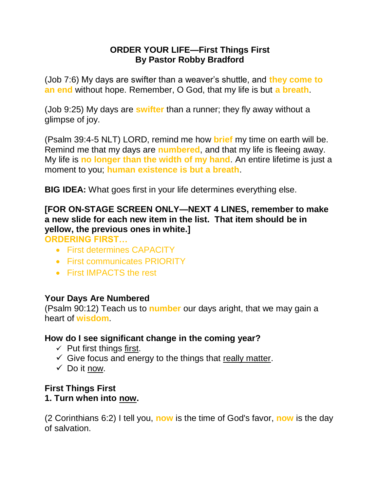## **ORDER YOUR LIFE—First Things First By Pastor Robby Bradford**

(Job 7:6) My days are swifter than a weaver's shuttle, and **they come to an end** without hope. Remember, O God, that my life is but **a breath**.

(Job 9:25) My days are **swifter** than a runner; they fly away without a glimpse of joy.

(Psalm 39:4-5 NLT) LORD, remind me how **brief** my time on earth will be. Remind me that my days are **numbered**, and that my life is fleeing away. My life is **no longer than the width of my hand**. An entire lifetime is just a moment to you; **human existence is but a breath**.

**BIG IDEA:** What goes first in your life determines everything else.

# **[FOR ON-STAGE SCREEN ONLY—NEXT 4 LINES, remember to make a new slide for each new item in the list. That item should be in yellow, the previous ones in white.]**

**ORDERING FIRST…** 

- First determines CAPACITY
- First communicates PRIORITY
- First IMPACTS the rest

### **Your Days Are Numbered**

(Psalm 90:12) Teach us to **number** our days aright, that we may gain a heart of **wisdom**.

### **How do I see significant change in the coming year?**

- $\checkmark$  Put first things first.
- $\checkmark$  Give focus and energy to the things that really matter.
- $\checkmark$  Do it now.

### **First Things First 1. Turn when into now.**

(2 Corinthians 6:2) I tell you, **now** is the time of God's favor, **now** is the day of salvation.